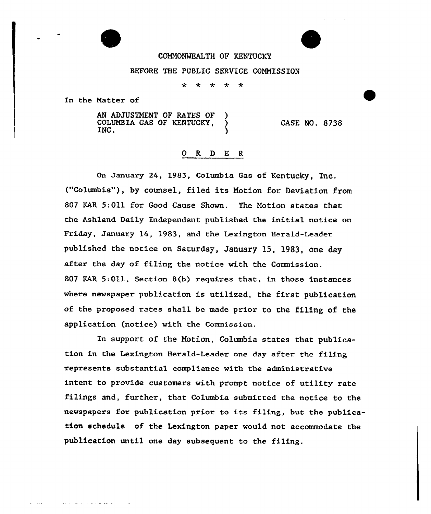

## COMMONWEALTH OF KENTUCKY

## BEFORE THE PUBLIC SERVICE COMMISSION

 $\ddot{\textbf{r}}$ ماره ماره

In the Natter of

الواقف فالمتابع والمحافظ المراجع والمحافر

AN ADJUSTMENT OF RATES OF )<br>COLUMBIA GAS OF KENTUCKY. COLUMBIA GAS OF KENTUCKY, INC. INC. CASE NO. 8738

## 0 R <sup>D</sup> E R

On January 24, 1983, Columbia Gas of Kentucky, Inc. ("Columbia"), by counsel, filed its Motion for Deviation from 80? KAR 5:011 for Good Cause Shown. The Motion states that the Ashland Daily Independent published the initial notice on Friday, January 14, 1983, and the Lexington Herald-Leader published the notice on Saturday, January l5, 19S3, one day after the day of filing the notice with the Commission. 807 EAR 5:011, Section 8(b) requires that, in those instances where newspaper publication is utilized, the first publication of the proposed rates shall be made prior to the filing of the application (notice) with the Commission.

In support of the Notion, Columbia states that publication in the Lexington Herald-Leader one day after the filing represents substantial compliance with the administrative intent to provide customers with prompt notice of utility rate filings and, further, that Columbia submitted the notice to the newspapers for publication prior to its filing, but the publication schedule of the Lexington paper would not accommodate the publication until one day subsequent to the filing.